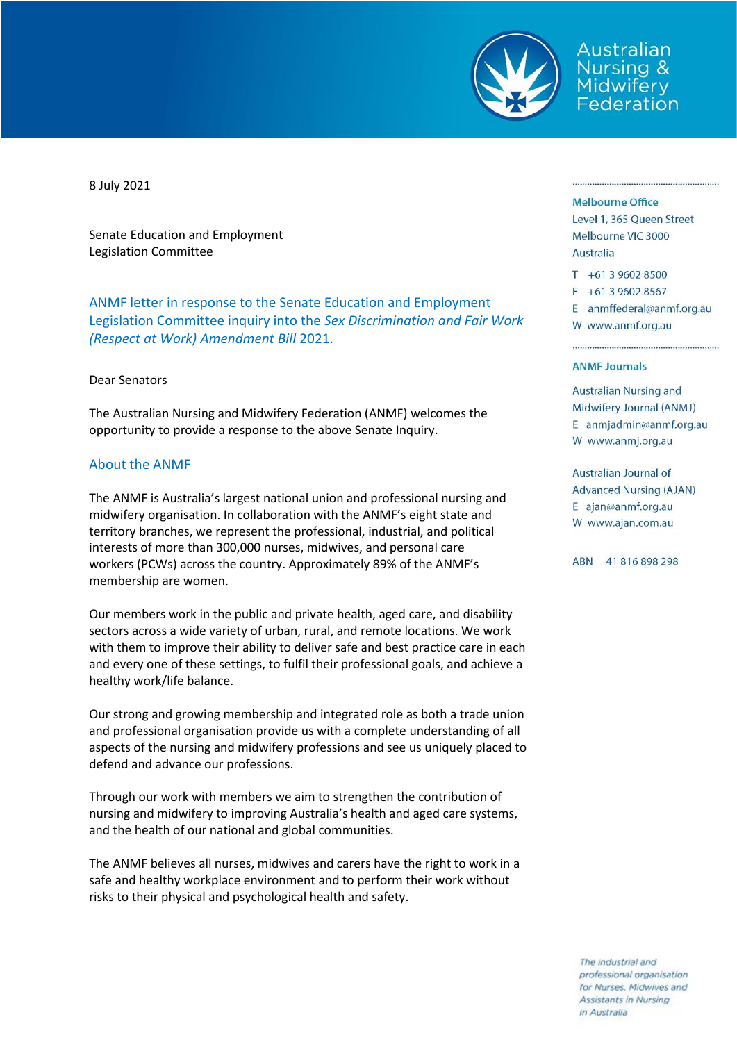

Australian Nursing & Midwifery Federation

8 July 2021

Senate Education and Employment Legislation Committee

ANMF letter in response to the Senate Education and Employment Legislation Committee inquiry into the *Sex Discrimination and Fair Work (Respect at Work) Amendment Bill* 2021.

### Dear Senators

The Australian Nursing and Midwifery Federation (ANMF) welcomes the opportunity to provide a response to the above Senate Inquiry.

### About the ANMF

The ANMF is Australia's largest national union and professional nursing and midwifery organisation. In collaboration with the ANMF's eight state and territory branches, we represent the professional, industrial, and political interests of more than 300,000 nurses, midwives, and personal care workers (PCWs) across the country. Approximately 89% of the ANMF's membership are women.

Our members work in the public and private health, aged care, and disability sectors across a wide variety of urban, rural, and remote locations. We work with them to improve their ability to deliver safe and best practice care in each and every one of these settings, to fulfil their professional goals, and achieve a healthy work/life balance.

Our strong and growing membership and integrated role as both a trade union and professional organisation provide us with a complete understanding of all aspects of the nursing and midwifery professions and see us uniquely placed to defend and advance our professions.

Through our work with members we aim to strengthen the contribution of nursing and midwifery to improving Australia's health and aged care systems, and the health of our national and global communities.

The ANMF believes all nurses, midwives and carers have the right to work in a safe and healthy workplace environment and to perform their work without risks to their physical and psychological health and safety.

#### **Melbourne Office**

Level 1, 365 Queen Street Melbourne VIC 3000 Australia

- T +61 3 9602 8500
- F +61 3 9602 8567

E anmffederal@anmf.org.au W www.anmf.org.au

#### **ANME Journals**

**Australian Nursing and** Midwifery Journal (ANMJ) E anmjadmin@anmf.org.au W www.anmj.org.au

Australian Journal of **Advanced Nursing (AJAN)** E ajan@anmf.org.au W www.ajan.com.au

ABN 41816898298

The industrial and professional organisation for Nurses, Midwives and Assistants in Nursing in Australia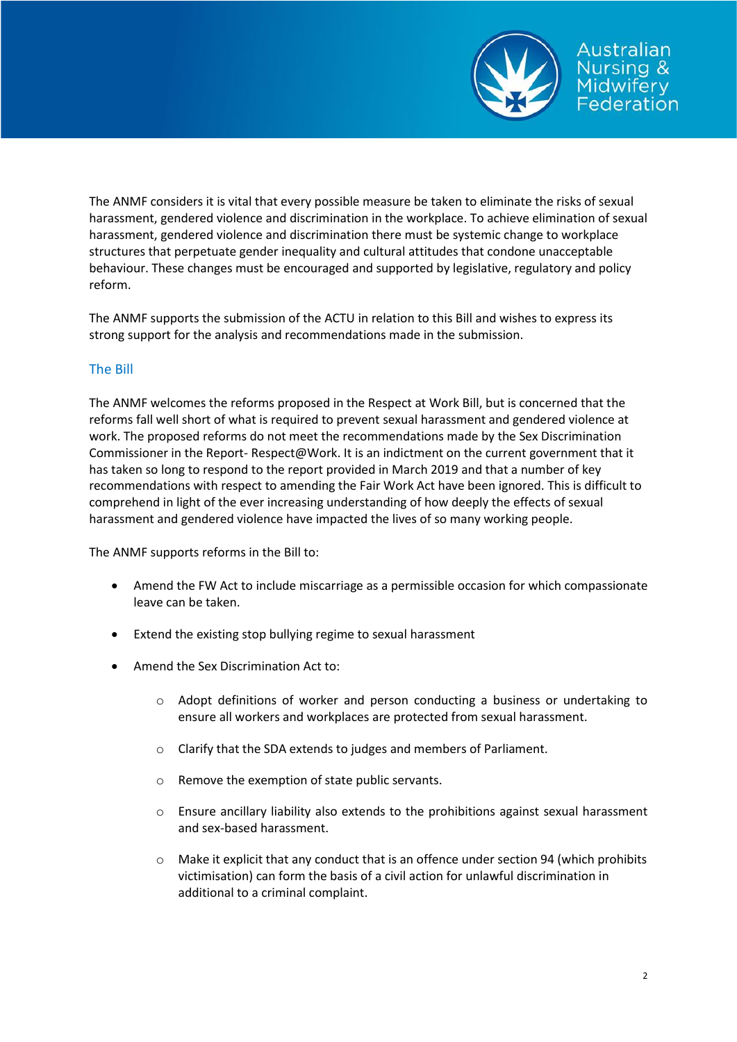

The ANMF considers it is vital that every possible measure be taken to eliminate the risks of sexual harassment, gendered violence and discrimination in the workplace. To achieve elimination of sexual harassment, gendered violence and discrimination there must be systemic change to workplace structures that perpetuate gender inequality and cultural attitudes that condone unacceptable behaviour. These changes must be encouraged and supported by legislative, regulatory and policy reform.

The ANMF supports the submission of the ACTU in relation to this Bill and wishes to express its strong support for the analysis and recommendations made in the submission.

# The Bill

The ANMF welcomes the reforms proposed in the Respect at Work Bill, but is concerned that the reforms fall well short of what is required to prevent sexual harassment and gendered violence at work. The proposed reforms do not meet the recommendations made by the Sex Discrimination Commissioner in the Report- Respect@Work. It is an indictment on the current government that it has taken so long to respond to the report provided in March 2019 and that a number of key recommendations with respect to amending the Fair Work Act have been ignored. This is difficult to comprehend in light of the ever increasing understanding of how deeply the effects of sexual harassment and gendered violence have impacted the lives of so many working people.

The ANMF supports reforms in the Bill to:

- Amend the FW Act to include miscarriage as a permissible occasion for which compassionate leave can be taken.
- Extend the existing stop bullying regime to sexual harassment
- Amend the Sex Discrimination Act to:
	- $\circ$  Adopt definitions of worker and person conducting a business or undertaking to ensure all workers and workplaces are protected from sexual harassment.
	- o Clarify that the SDA extends to judges and members of Parliament.
	- o Remove the exemption of state public servants.
	- $\circ$  Ensure ancillary liability also extends to the prohibitions against sexual harassment and sex-based harassment.
	- o Make it explicit that any conduct that is an offence under section 94 (which prohibits victimisation) can form the basis of a civil action for unlawful discrimination in additional to a criminal complaint.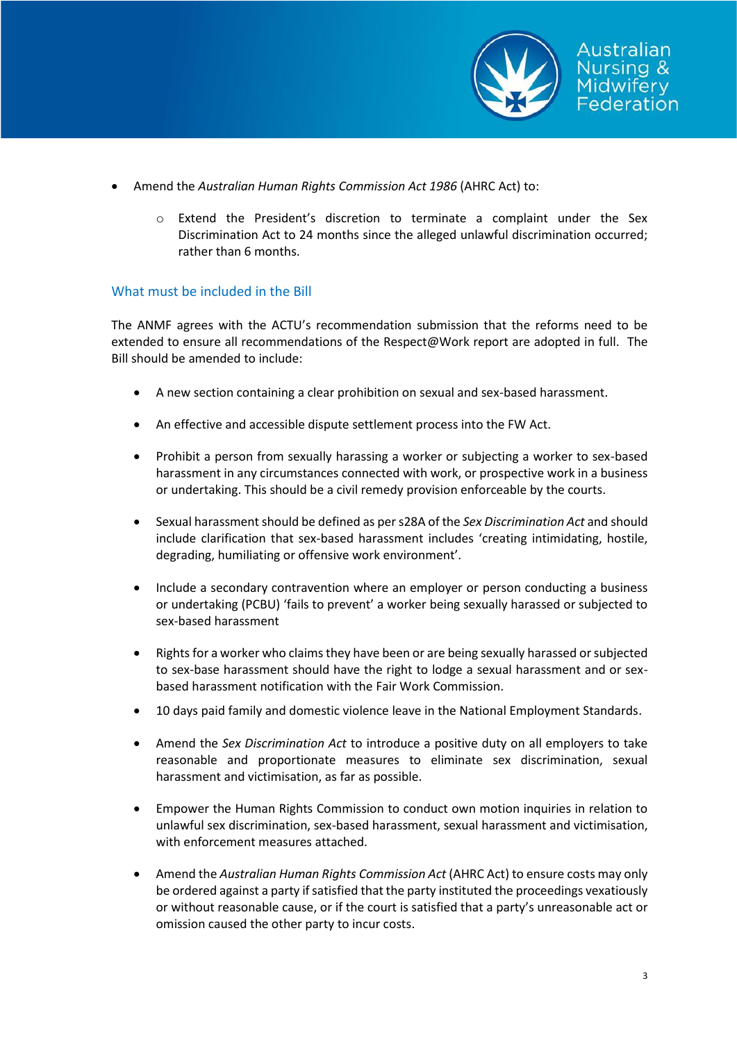

- Amend the *Australian Human Rights Commission Act 1986* (AHRC Act) to:
	- o Extend the President's discretion to terminate a complaint under the Sex Discrimination Act to 24 months since the alleged unlawful discrimination occurred; rather than 6 months.

## What must be included in the Bill

The ANMF agrees with the ACTU's recommendation submission that the reforms need to be extended to ensure all recommendations of the Respect@Work report are adopted in full. The Bill should be amended to include:

- A new section containing a clear prohibition on sexual and sex-based harassment.
- An effective and accessible dispute settlement process into the FW Act.
- Prohibit a person from sexually harassing a worker or subjecting a worker to sex-based harassment in any circumstances connected with work, or prospective work in a business or undertaking. This should be a civil remedy provision enforceable by the courts.
- Sexual harassment should be defined as per s28A of the *Sex Discrimination Act* and should include clarification that sex-based harassment includes 'creating intimidating, hostile, degrading, humiliating or offensive work environment'.
- Include a secondary contravention where an employer or person conducting a business or undertaking (PCBU) 'fails to prevent' a worker being sexually harassed or subjected to sex-based harassment
- Rights for a worker who claims they have been or are being sexually harassed or subjected to sex-base harassment should have the right to lodge a sexual harassment and or sexbased harassment notification with the Fair Work Commission.
- 10 days paid family and domestic violence leave in the National Employment Standards.
- Amend the *Sex Discrimination Act* to introduce a positive duty on all employers to take reasonable and proportionate measures to eliminate sex discrimination, sexual harassment and victimisation, as far as possible.
- Empower the Human Rights Commission to conduct own motion inquiries in relation to unlawful sex discrimination, sex-based harassment, sexual harassment and victimisation, with enforcement measures attached.
- Amend the *Australian Human Rights Commission Act* (AHRC Act) to ensure costs may only be ordered against a party if satisfied that the party instituted the proceedings vexatiously or without reasonable cause, or if the court is satisfied that a party's unreasonable act or omission caused the other party to incur costs.